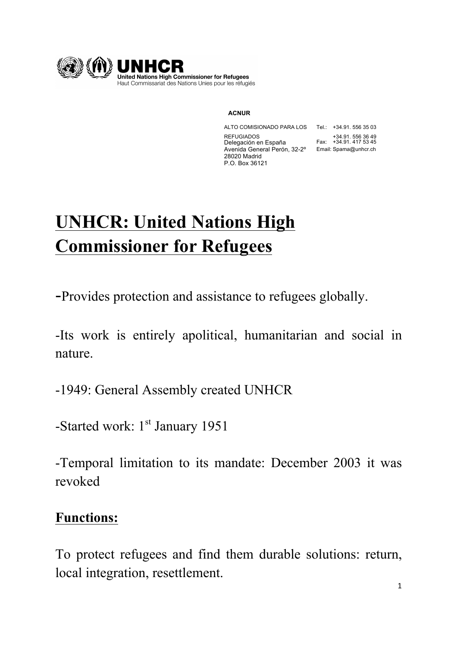

#### **ACNUR**

ALTO COMISIONADO PARA LOS Tel.: +34.91. 556 35 03 REFUGIADOS +34.91. 556 36 49 Delegación en España Fax: +34.91. 417 53 45 Avenida General Perón, 32-2º Email: Spama@unhcr.ch 28020 Madrid P.O. Box 36121

# **UNHCR: United Nations High Commissioner for Refugees**

-Provides protection and assistance to refugees globally.

-Its work is entirely apolitical, humanitarian and social in nature.

-1949: General Assembly created UNHCR

-Started work: 1<sup>st</sup> January 1951

-Temporal limitation to its mandate: December 2003 it was revoked

#### **Functions:**

To protect refugees and find them durable solutions: return, local integration, resettlement.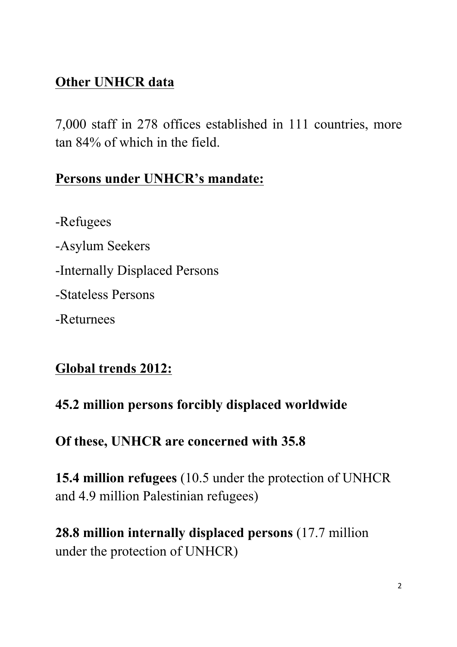### **Other UNHCR data**

7,000 staff in 278 offices established in 111 countries, more tan 84% of which in the field.

## **Persons under UNHCR's mandate:**

-Refugees

-Asylum Seekers

-Internally Displaced Persons

-Stateless Persons

-Returnees

# **Global trends 2012:**

# **45.2 million persons forcibly displaced worldwide**

**Of these, UNHCR are concerned with 35.8**

**15.4 million refugees** (10.5 under the protection of UNHCR and 4.9 million Palestinian refugees)

**28.8 million internally displaced persons** (17.7 million under the protection of UNHCR)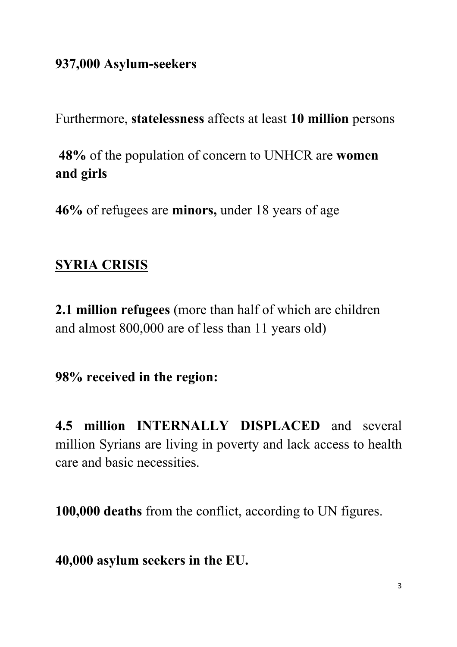#### **937,000 Asylum-seekers**

Furthermore, **statelessness** affects at least **10 million** persons

**48%** of the population of concern to UNHCR are **women and girls**

**46%** of refugees are **minors,** under 18 years of age

### **SYRIA CRISIS**

**2.1 million refugees** (more than half of which are children and almost 800,000 are of less than 11 years old)

**98% received in the region:**

**4.5 million INTERNALLY DISPLACED** and several million Syrians are living in poverty and lack access to health care and basic necessities.

**100,000 deaths** from the conflict, according to UN figures.

**40,000 asylum seekers in the EU.**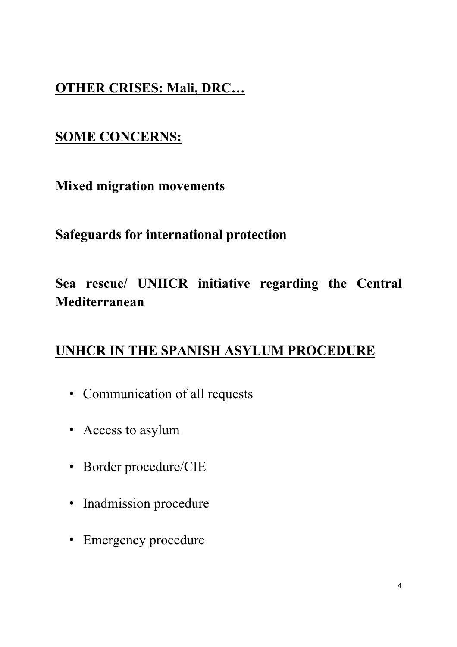#### **OTHER CRISES: Mali, DRC…**

#### **SOME CONCERNS:**

**Mixed migration movements**

#### **Safeguards for international protection**

# **Sea rescue/ UNHCR initiative regarding the Central Mediterranean**

#### **UNHCR IN THE SPANISH ASYLUM PROCEDURE**

- Communication of all requests
- Access to asylum
- Border procedure/CIE
- Inadmission procedure
- Emergency procedure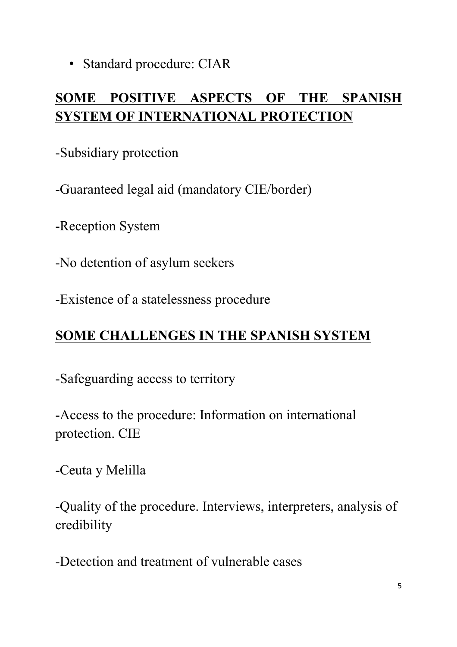• Standard procedure: CIAR

# **SOME POSITIVE ASPECTS OF THE SPANISH SYSTEM OF INTERNATIONAL PROTECTION**

-Subsidiary protection

-Guaranteed legal aid (mandatory CIE/border)

-Reception System

-No detention of asylum seekers

-Existence of a statelessness procedure

# **SOME CHALLENGES IN THE SPANISH SYSTEM**

-Safeguarding access to territory

-Access to the procedure: Information on international protection. CIE

-Ceuta y Melilla

-Quality of the procedure. Interviews, interpreters, analysis of credibility

-Detection and treatment of vulnerable cases